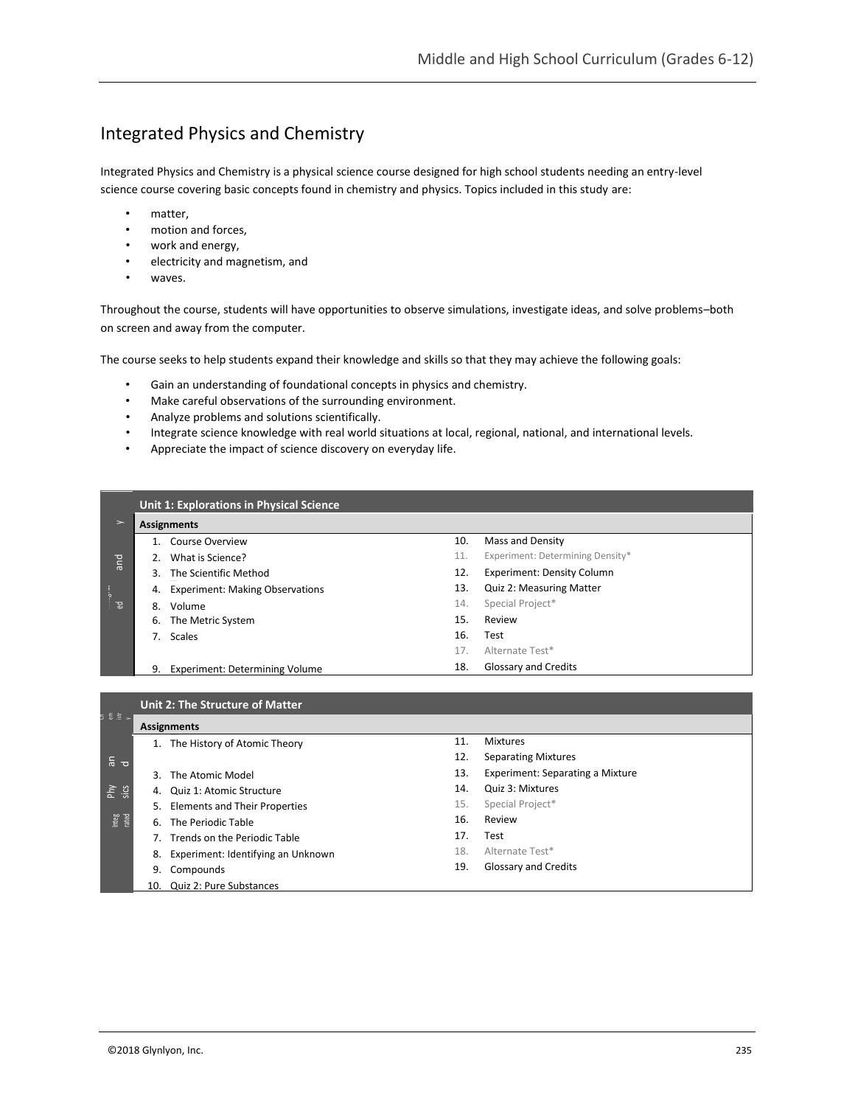# Integrated Physics and Chemistry

Integrated Physics and Chemistry is a physical science course designed for high school students needing an entry-level science course covering basic concepts found in chemistry and physics. Topics included in this study are:

- matter,
- motion and forces,
- work and energy,
- electricity and magnetism, and
- waves.

Throughout the course, students will have opportunities to observe simulations, investigate ideas, and solve problems–both on screen and away from the computer.

The course seeks to help students expand their knowledge and skills so that they may achieve the following goals:

- Gain an understanding of foundational concepts in physics and chemistry.
- Make careful observations of the surrounding environment.
- Analyze problems and solutions scientifically.
- Integrate science knowledge with real world situations at local, regional, national, and international levels.
- Appreciate the impact of science discovery on everyday life.

|               | Unit 1: Explorations in Physical Science |                                        |     |                                   |  |  |  |  |
|---------------|------------------------------------------|----------------------------------------|-----|-----------------------------------|--|--|--|--|
| $\rightarrow$ | <b>Assignments</b>                       |                                        |     |                                   |  |  |  |  |
|               |                                          | Course Overview                        | 10. | <b>Mass and Density</b>           |  |  |  |  |
| and           |                                          | 2. What is Science?                    | 11. | Experiment: Determining Density*  |  |  |  |  |
|               |                                          | 3. The Scientific Method               | 12. | <b>Experiment: Density Column</b> |  |  |  |  |
|               | 4.                                       | <b>Experiment: Making Observations</b> | 13. | <b>Quiz 2: Measuring Matter</b>   |  |  |  |  |
| ਂ ਛ           | 8.                                       | Volume                                 | 14. | Special Project*                  |  |  |  |  |
|               | 6.                                       | The Metric System                      | 15. | Review                            |  |  |  |  |
|               |                                          | 7. Scales                              | 16. | Test                              |  |  |  |  |
|               |                                          |                                        | 17. | Alternate Test*                   |  |  |  |  |
|               | 9.                                       | <b>Experiment: Determining Volume</b>  | 18. | <b>Glossary and Credits</b>       |  |  |  |  |
|               |                                          |                                        |     |                                   |  |  |  |  |

| 5 16 12 11                             | <b>Assignments</b> |                                    |     |                                  |  |  |  |  |  |
|----------------------------------------|--------------------|------------------------------------|-----|----------------------------------|--|--|--|--|--|
|                                        |                    | 1. The History of Atomic Theory    | 11. | <b>Mixtures</b>                  |  |  |  |  |  |
| $\frac{c}{\sigma}$ $\frac{d}{d\sigma}$ |                    |                                    | 12. | <b>Separating Mixtures</b>       |  |  |  |  |  |
|                                        |                    | 3. The Atomic Model                | 13. | Experiment: Separating a Mixture |  |  |  |  |  |
| sis<br>Sis                             | 4.                 | Quiz 1: Atomic Structure           | 14. | Quiz 3: Mixtures                 |  |  |  |  |  |
|                                        |                    | 5. Elements and Their Properties   | 15. | Special Project*                 |  |  |  |  |  |
| Integ<br>rated                         | 6.                 | The Periodic Table                 | 16. | Review                           |  |  |  |  |  |
|                                        |                    | 7. Trends on the Periodic Table    | 17. | Test                             |  |  |  |  |  |
|                                        | 8.                 | Experiment: Identifying an Unknown | 18. | Alternate Test*                  |  |  |  |  |  |
|                                        | 9.                 | Compounds                          | 19. | Glossary and Credits             |  |  |  |  |  |
|                                        |                    | 10. Quiz 2: Pure Substances        |     |                                  |  |  |  |  |  |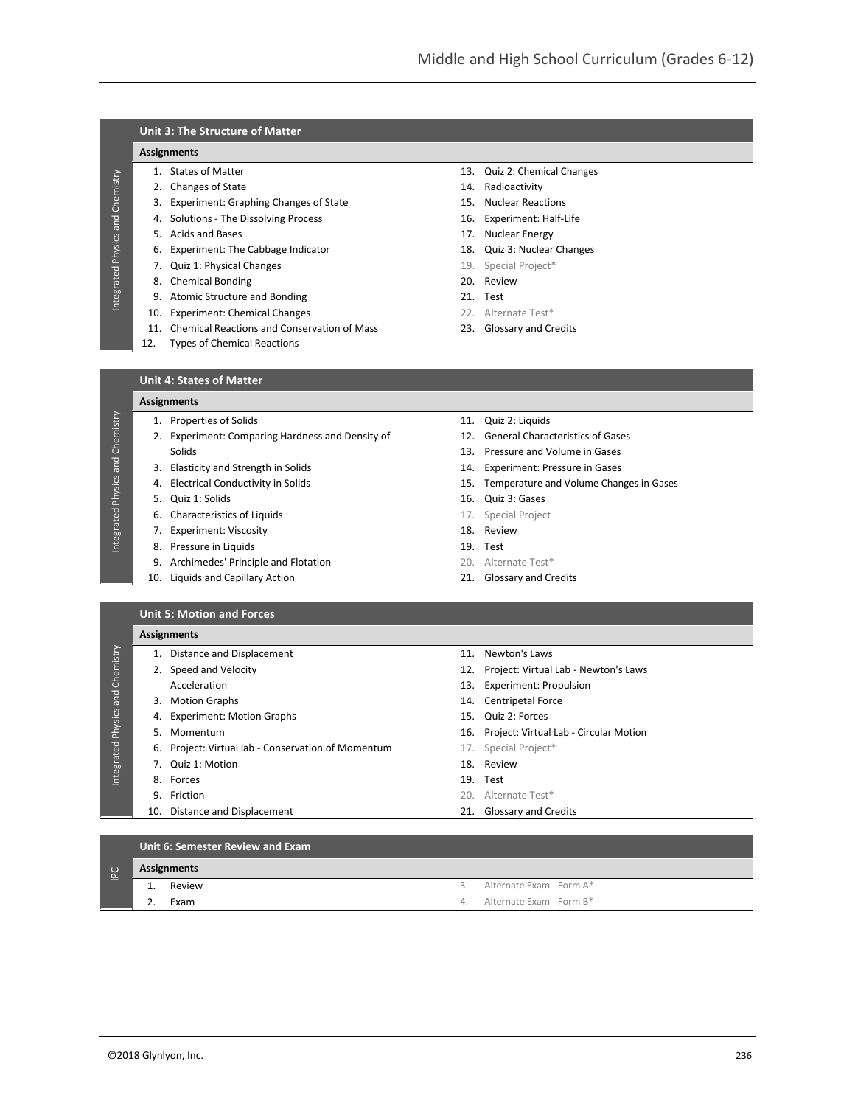## **Unit 3: The Structure of Matter**

### **Assignments**

Integrated Physics and Chemistry

Integrated Physics and Chemistry

Integrated Physics and Chemistry

Integrated Physics and Chemistry

- 
- 2. Changes of State 14. Radioactivity
- 3. Experiment: Graphing Changes of State 15. Nuclear Reactions
- 4. Solutions The Dissolving Process 16. Experiment: Half-Life
- 5. Acids and Bases **17. Nuclear Energy**
- 6. Experiment: The Cabbage Indicator 18. Quiz 3: Nuclear Changes
- 7. Quiz 1: Physical Changes **19. Special Project**\*
	- 8. Chemical Bonding 20. Review
- 9. Atomic Structure and Bonding 21. Test
- 10. Experiment: Chemical Changes 22. Alternate Test\*
- 11. Chemical Reactions and Conservation of Mass 23. Glossary and Credits
- 12. Types of Chemical Reactions
- 1. States of Matter 13. Quiz 2: Chemical Changes
	-
	-
	-
	-
	-
	-
	-
	-
	-
	-

#### **Unit 4: States of Matter**

#### **Assignments**

- 
- 2. Experiment: Comparing Hardness and Density of 12. General Characteristics of Gases Solids 30. Pressure and Volume in Gases
- 3. Elasticity and Strength in Solids 14. Experiment: Pressure in Gases
- 
- 
- 6. Characteristics of Liquids 17. Special Project
- 7. Experiment: Viscosity 18. Review
- 8. Pressure in Liquids 19. Test
- 9. Archimedes' Principle and Flotation 20. Alternate Test\*
- 10. Liquids and Capillary Action 21. Glossary and Credits
- 1. Properties of Solids 11. Quiz 2: Liquids
	-
	-
	-
- 4. Electrical Conductivity in Solids 15. Temperature and Volume Changes in Gases
- 5. Quiz 1: Solids 16. Quiz 3: Gases
	-
	-
	-
	-
	-

|            | <b>Unit 5: Motion and Forces</b> |                                                    |  |                                            |  |  |  |  |  |  |  |
|------------|----------------------------------|----------------------------------------------------|--|--------------------------------------------|--|--|--|--|--|--|--|
|            |                                  | <b>Assignments</b>                                 |  |                                            |  |  |  |  |  |  |  |
|            |                                  | 1. Distance and Displacement                       |  | 11. Newton's Laws                          |  |  |  |  |  |  |  |
| Chemistry  |                                  | 2. Speed and Velocity                              |  | 12. Project: Virtual Lab - Newton's Laws   |  |  |  |  |  |  |  |
|            |                                  | Acceleration                                       |  | 13. Experiment: Propulsion                 |  |  |  |  |  |  |  |
| and        | 3.                               | <b>Motion Graphs</b>                               |  | 14. Centripetal Force                      |  |  |  |  |  |  |  |
| Physics    | 4.                               | <b>Experiment: Motion Graphs</b>                   |  | 15. Quiz 2: Forces                         |  |  |  |  |  |  |  |
|            | 5.                               | Momentum                                           |  | 16. Project: Virtual Lab - Circular Motion |  |  |  |  |  |  |  |
|            |                                  | 6. Project: Virtual lab - Conservation of Momentum |  | 17. Special Project*                       |  |  |  |  |  |  |  |
| Integrated |                                  | 7. Quiz 1: Motion                                  |  | 18. Review                                 |  |  |  |  |  |  |  |
|            |                                  | 8. Forces                                          |  | 19. Test                                   |  |  |  |  |  |  |  |
|            | 9.                               | Friction                                           |  | 20. Alternate Test*                        |  |  |  |  |  |  |  |
|            |                                  | 10. Distance and Displacement                      |  | 21. Glossary and Credits                   |  |  |  |  |  |  |  |
|            |                                  |                                                    |  |                                            |  |  |  |  |  |  |  |

**Unit 6: Semester Review and Exam**

| $\cup$<br>ā.<br>– |          | Assignments |  |                             |  |  |  |  |  |
|-------------------|----------|-------------|--|-----------------------------|--|--|--|--|--|
|                   | <b>.</b> | Review      |  | 3. Alternate Exam - Form A* |  |  |  |  |  |
|                   | <u>.</u> | Exam        |  | 4. Alternate Exam - Form B* |  |  |  |  |  |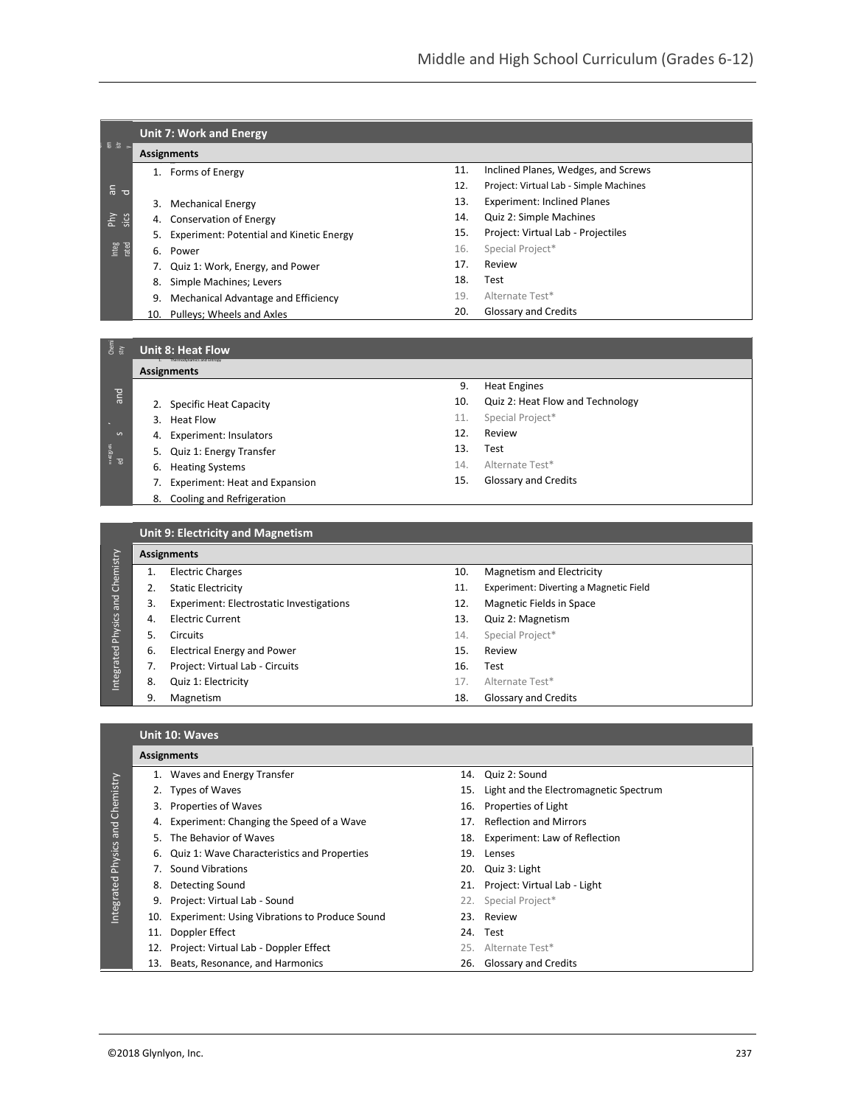|                | <b>Unit 7: Work and Energy</b> |                                             |     |                                        |  |  |  |  |  |
|----------------|--------------------------------|---------------------------------------------|-----|----------------------------------------|--|--|--|--|--|
| 등 조 기          |                                | <b>Assignments</b>                          |     |                                        |  |  |  |  |  |
|                |                                | Forms of Energy                             | 11. | Inclined Planes, Wedges, and Screws    |  |  |  |  |  |
| $\frac{c}{b}$  |                                |                                             | 12. | Project: Virtual Lab - Simple Machines |  |  |  |  |  |
|                | 3.                             | Mechanical Energy                           | 13. | <b>Experiment: Inclined Planes</b>     |  |  |  |  |  |
| Phy<br>sics    | 4.                             | Conservation of Energy                      | 14. | Quiz 2: Simple Machines                |  |  |  |  |  |
|                |                                | 5. Experiment: Potential and Kinetic Energy | 15. | Project: Virtual Lab - Projectiles     |  |  |  |  |  |
| Integ<br>rated |                                | 6. Power                                    | 16. | Special Project*                       |  |  |  |  |  |
|                |                                | Quiz 1: Work, Energy, and Power             | 17. | Review                                 |  |  |  |  |  |
|                | 8.                             | Simple Machines; Levers                     | 18. | Test                                   |  |  |  |  |  |
|                | 9.                             | Mechanical Advantage and Efficiency         | 19. | Alternate Test*                        |  |  |  |  |  |
|                | 10.                            | Pulleys; Wheels and Axles                   | 20. | Glossary and Credits                   |  |  |  |  |  |
|                |                                |                                             |     |                                        |  |  |  |  |  |

## \_\_<br>*ំ ន*ៃ Unit 8: Heat Flow

|               | <b>Assignments</b>                    | 9.  | <b>Heat Engines</b>              |  |
|---------------|---------------------------------------|-----|----------------------------------|--|
| and           |                                       |     |                                  |  |
|               | 2. Specific Heat Capacity             | 10. | Quiz 2: Heat Flow and Technology |  |
|               | 3. Heat Flow                          | 11. | Special Project*                 |  |
| ှ             | 4. Experiment: Insulators             | 12. | Review                           |  |
| nnegran<br>ed | 5. Quiz 1: Energy Transfer            | 13. | Test                             |  |
|               | 6. Heating Systems                    | 14. | Alternate Test*                  |  |
|               | <b>Experiment: Heat and Expansion</b> | 15. | <b>Glossary and Credits</b>      |  |
|               | 8. Cooling and Refrigeration          |     |                                  |  |
|               |                                       |     |                                  |  |

|  |            |     | <b>Unit 9: Electricity and Magnetism</b> |     |                                        |
|--|------------|-----|------------------------------------------|-----|----------------------------------------|
|  |            |     | <b>Assignments</b>                       |     |                                        |
|  | Chemistry  |     | <b>Electric Charges</b>                  | 10. | Magnetism and Electricity              |
|  |            | 2.  | <b>Static Electricity</b>                | 11. | Experiment: Diverting a Magnetic Field |
|  | and        | 3.  | Experiment: Electrostatic Investigations | 12. | Magnetic Fields in Space               |
|  |            | 4.  | <b>Electric Current</b>                  | 13. | Quiz 2: Magnetism                      |
|  | Physics    | .5. | <b>Circuits</b>                          | 14. | Special Project*                       |
|  |            | 6.  | <b>Electrical Energy and Power</b>       | 15. | Review                                 |
|  |            | 7.  | Project: Virtual Lab - Circuits          | 16. | Test                                   |
|  | Integrated | 8.  | Quiz 1: Electricity                      | 17. | Alternate Test*                        |
|  |            |     |                                          |     |                                        |

| 9. | Magnetism                          | 18. | Glossary and Credits |
|----|------------------------------------|-----|----------------------|
|    | 8. Quiz 1: Electricity             |     | 17. Alternate Test*  |
|    | 7. Project: Virtual Lab - Circuits | 16. | Test                 |
|    | 6. Electrical Energy and Power     | 15. | Review               |
|    | 5. LIILUILS                        |     | 14. DUECIAL PROJECT. |

### **Unit 10: Waves**

|               | <b>Assignments</b> |                                               |     |                                        |  |  |  |  |  |  |
|---------------|--------------------|-----------------------------------------------|-----|----------------------------------------|--|--|--|--|--|--|
|               |                    | 1. Waves and Energy Transfer                  | 14. | Quiz 2: Sound                          |  |  |  |  |  |  |
|               |                    | Types of Waves                                | 15. | Light and the Electromagnetic Spectrum |  |  |  |  |  |  |
|               | 3.                 | <b>Properties of Waves</b>                    |     | 16. Properties of Light                |  |  |  |  |  |  |
| and Chemistry | 4.                 | Experiment: Changing the Speed of a Wave      |     | 17. Reflection and Mirrors             |  |  |  |  |  |  |
|               | 5.                 | The Behavior of Waves                         |     | 18. Experiment: Law of Reflection      |  |  |  |  |  |  |
| Physics       | 6.                 | Quiz 1: Wave Characteristics and Properties   |     | 19. Lenses                             |  |  |  |  |  |  |
|               |                    | <b>Sound Vibrations</b>                       |     | 20. Quiz 3: Light                      |  |  |  |  |  |  |
| ntegrated     | 8.                 | Detecting Sound                               |     | 21. Project: Virtual Lab - Light       |  |  |  |  |  |  |
|               | 9.                 | Project: Virtual Lab - Sound                  | 22. | Special Project*                       |  |  |  |  |  |  |
|               | 10.                | Experiment: Using Vibrations to Produce Sound | 23. | Review                                 |  |  |  |  |  |  |
|               | 11.                | Doppler Effect                                |     | 24. Test                               |  |  |  |  |  |  |
|               |                    | Project: Virtual Lab - Doppler Effect         |     | 25. Alternate Test*                    |  |  |  |  |  |  |
|               | 13.                | Beats, Resonance, and Harmonics               |     | 26. Glossary and Credits               |  |  |  |  |  |  |